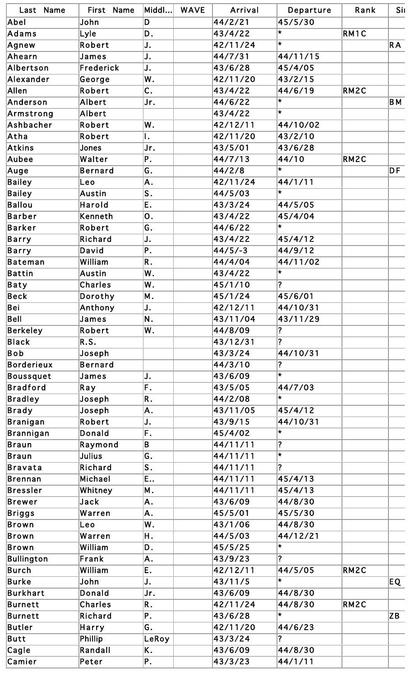| Last Name         | First Name     | Middl…l          | <b>WAVE</b> | Arrival   | Departure                          | Rank | Sil |
|-------------------|----------------|------------------|-------------|-----------|------------------------------------|------|-----|
| Abel              | John           | D                |             | 44/2/21   | 45/5/30                            |      |     |
| Adams             | Lyle           | D.               |             | 43/4/22   | $\star$                            | RM1C |     |
| Agnew             | Robert         | J.               |             | 42/11/24  | $\star$                            |      | RA  |
| Ahearn            | James          | J.               |             | 44/7/31   | 44/11/15                           |      |     |
| Albertson         | Frederick      | J.               |             | 43/6/28   | 45/4/05                            |      |     |
| Alexander         | George         | W.               |             | 42/11/20  | 43/2/15                            |      |     |
| Allen             | Robert         | $\overline{c}$ . |             | 43/4/22   | 44/6/19                            | RM2C |     |
| Anderson          | Albert         | Jr.              |             | 44/6/22   | $\star$                            |      | BΜ  |
| Armstrong         | Albert         |                  |             | 43/4/22   | l*                                 |      |     |
| Ashbacher         | Robert         | W.               |             | 42/12/11  | 44/10/02                           |      |     |
| Atha              | Robert         | ۱.               |             | 42/11/20  | 43/2/10                            |      |     |
| Atkins            | Jones          | Jr.              |             | 43/5/01   | 43/6/28                            |      |     |
| Aubee             | Walter         | Ρ.               |             | 44/7/13   | 44/10                              | RM2C |     |
| Auge              | <b>Bernard</b> | G.               |             | 44/2/8    | $\star$                            |      | DF  |
| <b>Bailey</b>     | Leo            | Α.               |             | 42/11/24  | 44/1/11                            |      |     |
| <b>Bailey</b>     | <b>Austin</b>  | S.               |             | 44/5/03   | $\star$                            |      |     |
| <b>Ballou</b>     | Harold         | Ε.               |             | 43/3/24   | 44/5/05                            |      |     |
| <b>Barber</b>     | Kenneth        | 0.               |             | 43/4/22   | 45/4/04                            |      |     |
| Barker            | Robert         | G.               |             | 44/6/22   | $\star$                            |      |     |
| <b>Barry</b>      | Richard        | J.               |             | 43/4/22   | 45/4/12                            |      |     |
| Barry             | David          | Ρ.               |             | $44/5/-3$ | 44/9/12                            |      |     |
| Bateman           | William        | R.               |             | 44/4/04   | 44/11/02                           |      |     |
| <b>Battin</b>     | Austin         | W.               |             | 43/4/22   | $\star$                            |      |     |
| Baty              | Charles        | W.               |             | 45/1/10   | $\boldsymbol{\mathcal{P}}$         |      |     |
| Beck              | Dorothy        | Μ.               |             | 45/1/24   | 45/6/01                            |      |     |
| Bei               | Anthony        | J.               |             | 42/12/11  | 44/10/31                           |      |     |
| Bell              | James          | Ν.               |             | 43/11/04  | 43/11/29                           |      |     |
|                   | Robert         | W.               |             | 44/8/09   | ?                                  |      |     |
| Berkeley          |                |                  |             |           | $\overline{\mathbf{?}}$            |      |     |
| <b>Black</b>      | R.S.           |                  |             | 43/12/31  |                                    |      |     |
| Bob               | Joseph         |                  |             | 43/3/24   | 44/10/31                           |      |     |
| <b>Borderieux</b> | <b>Bernard</b> |                  |             | 44/3/10   | $\overline{\mathbf{?}}$<br>$\star$ |      |     |
| <b>Boussquet</b>  | James          | J.               |             | 43/6/09   |                                    |      |     |
| <b>Bradford</b>   | Ray            | F.               |             | 43/5/05   | 44/7/03<br>$\star$                 |      |     |
| <b>Bradley</b>    | Joseph         | R.               |             | 44/2/08   |                                    |      |     |
| <b>Brady</b>      | Joseph         | Α.               |             | 43/11/05  | 45/4/12                            |      |     |
| <b>Branigan</b>   | Robert         | J.               |             | 43/9/15   | 44/10/31                           |      |     |
| Brannigan         | Donald         | F.               |             | 45/4/02   | $\star$                            |      |     |
| <b>Braun</b>      | Raymond        | B                |             | 44/11/11  | $\overline{\mathbf{?}}$            |      |     |
| <b>Braun</b>      | <b>Julius</b>  | G.               |             | 44/11/11  | l∗.                                |      |     |
| <b>Bravata</b>    | Richard        | S.               |             | 44/11/11  | $\overline{\mathbf{?}}$            |      |     |
| <b>Brennan</b>    | Michael        | E                |             | 44/11/11  | 45/4/13                            |      |     |
| Bressler          | Whitney        | Μ.               |             | 44/11/11  | 45/4/13                            |      |     |
| <b>Brewer</b>     | Jack           | A.               |             | 43/6/09   | 44/8/30                            |      |     |
| Briggs            | Warren         | Α.               |             | 45/5/01   | 45/5/30                            |      |     |
| <b>Brown</b>      | Leo            | W.               |             | 43/1/06   | 44/8/30                            |      |     |
| <b>Brown</b>      | Warren         | Η.               |             | 44/5/03   | 44/12/21                           |      |     |
| <b>Brown</b>      | William        | D.               |             | 45/5/25   | $\star$                            |      |     |
| <b>Bullington</b> | Frank          | Α.               |             | 43/9/23   | $\overline{\mathbf{?}}$            |      |     |
| <b>Burch</b>      | William        | Ε.               |             | 42/12/11  | 44/5/05                            | RM2C |     |
| <b>Burke</b>      | John           | J.               |             | 43/11/5   | $\star$                            |      | EQ. |
| <b>Burkhart</b>   | Donald         | Jr.              |             | 43/6/09   | 44/8/30                            |      |     |
| <b>Burnett</b>    | <b>Charles</b> | R.               |             | 42/11/24  | 44/8/30                            | RM2C |     |
| <b>Burnett</b>    | Richard        | Ρ.               |             | 43/6/28   | $\star$                            |      | ZB  |
| <b>Butler</b>     | Harry          | G.               |             | 42/11/20  | 44/6/23                            |      |     |
| Butt              | Phillip        | LeRoy            |             | 43/3/24   | ?                                  |      |     |
| Cagle             | Randall        | Κ.               |             | 43/6/09   | 44/8/30                            |      |     |
| Camier            | Peter          | Ρ.               |             | 43/3/23   | 44/1/11                            |      |     |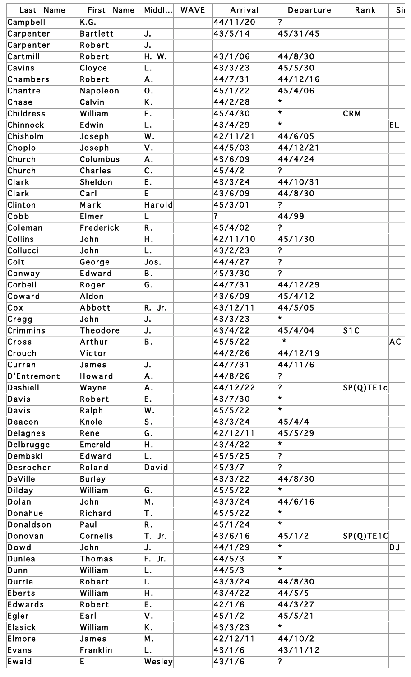| Last Name      | First Name      | Middl                        | <b>WAVE</b> | Arrival                 | Departure                    | Rank                                                | Sil |
|----------------|-----------------|------------------------------|-------------|-------------------------|------------------------------|-----------------------------------------------------|-----|
| Campbell       | K.G.            |                              |             | 44/11/20                | $\overline{?}$               |                                                     |     |
| Carpenter      | <b>Bartlett</b> | IJ.                          |             | 43/5/14                 | 45/31/45                     |                                                     |     |
| Carpenter      | Robert          | IJ.                          |             |                         |                              |                                                     |     |
| Cartmill       | Robert          | Η.<br>W.                     |             | 43/1/06                 | 44/8/30                      |                                                     |     |
| Cavins         | Cloyce          | L.                           |             | 43/3/23                 | 45/5/30                      |                                                     |     |
| Chambers       | Robert          | A.                           |             | 44/7/31                 | 44/12/16                     |                                                     |     |
| Chantre        | Napoleon        | О.                           |             | 45/1/22                 | 45/4/06                      |                                                     |     |
| Chase          | Calvin          | K.                           |             | 44/2/28                 | $\star$                      |                                                     |     |
| Childress      | William         | F.                           |             | 45/4/30                 | l.                           | <b>CRM</b>                                          |     |
| Chinnock       | Edwin           | L.                           |             | 43/4/29                 | $\star$                      |                                                     | EL. |
| Chisholm       | Joseph          | W.                           |             | 42/11/21                | 44/6/05                      |                                                     |     |
| Choplo         | Joseph          | ٧.                           |             | 44/5/03                 | 44/12/21                     |                                                     |     |
| Church         | Columbus        | Α.                           |             | 43/6/09                 | 44/4/24                      |                                                     |     |
| Church         | <b>Charles</b>  | $\overline{C}$ .             |             | 45/4/2                  | $\boldsymbol{\mathsf{a}}$    |                                                     |     |
| <b>Clark</b>   | Sheldon         | E.                           |             | 43/3/24                 | 44/10/31                     |                                                     |     |
| Clark          | Carl            | E                            |             | 43/6/09                 | 44/8/30                      |                                                     |     |
| <b>Clinton</b> | Mark            | Harold                       |             | 45/3/01                 | ?                            |                                                     |     |
| Cobb           | Elmer           | L                            |             | $\overline{\mathbf{?}}$ | 44/99                        |                                                     |     |
| Coleman        | Frederick       | R.                           |             | 45/4/02                 | ?                            |                                                     |     |
| Collins        | John            | Η.                           |             | 42/11/10                | 45/1/30                      |                                                     |     |
| Collucci       | John            | L.                           |             | 43/2/23                 | $\overline{\mathbf{?}}$      |                                                     |     |
| Colt           | George          | Jos.                         |             | 44/4/27                 | ?                            |                                                     |     |
| Conway         | <b>Edward</b>   | B.                           |             | 45/3/30                 | $\overline{\mathbf{r}}$      |                                                     |     |
| Corbeil        |                 | G.                           |             | 44/7/31                 | 44/12/29                     |                                                     |     |
| Coward         | Roger<br>Aldon  |                              |             | 43/6/09                 | 45/4/12                      |                                                     |     |
|                |                 |                              |             | 43/12/11                |                              |                                                     |     |
| $ C$ ox        | Abbott          | R. Jr.                       |             |                         | 44/5/05<br>$\star$           |                                                     |     |
| Cregg          | John            | IJ.                          |             | 43/3/23                 |                              |                                                     |     |
| Crimmins       | <b>Theodore</b> | IJ.                          |             | 43/4/22                 | 45/4/04<br>$\star$           | S1C                                                 |     |
| Cross          | Arthur          | B.                           |             | 45/5/22                 |                              |                                                     | AC. |
| Crouch         | Victor          |                              |             | 44/2/26                 | 44/12/19                     |                                                     |     |
| Curran         | James           | IJ.                          |             | 44/7/31                 | 44/11/6                      |                                                     |     |
| D'Entremont    | Howard          | A.                           |             | 44/8/26                 | $\overline{\mathbf{?}}$      |                                                     |     |
| Dashiell       | Wayne           | A.                           |             | 44/12/22                | $\overline{\mathbf{?}}$<br>₩ | $\left \mathsf{SP}(\mathsf{Q})\mathsf{TE1c}\right $ |     |
| Davis          | Robert          | E.                           |             | 43/7/30                 | $\star$                      |                                                     |     |
| Davis          | Ralph           | W.                           |             | 45/5/22                 |                              |                                                     |     |
| Deacon         | Knole           | S.                           |             | 43/3/24                 | 45/4/4                       |                                                     |     |
| Delagnes       | Rene            | G.                           |             | 42/12/11                | 45/5/29                      |                                                     |     |
| Delbrugge      | <b>Emerald</b>  | Η.                           |             | 43/4/22                 | $\star$                      |                                                     |     |
| Dembski        | Edward          | L.                           |             | 45/5/25                 | $\overline{\mathbf{?}}$      |                                                     |     |
| Desrocher      | Roland          | David                        |             | 45/3/7                  | $\overline{\mathbf{?}}$      |                                                     |     |
| DeVille        | <b>Burley</b>   |                              |             | 43/3/22                 | 44/8/30                      |                                                     |     |
| Dilday         | William         | G.                           |             | 45/5/22                 | $\star$                      |                                                     |     |
| Dolan          | John            | Μ.                           |             | 43/3/24                 | 44/6/16                      |                                                     |     |
| Donahue        | Richard         | Τ.                           |             | 45/5/22                 | $\star$                      |                                                     |     |
| Donaldson      | Paul            | R.                           |             | 45/1/24                 | $\star$                      |                                                     |     |
| Donovan        | Cornelis        | Τ.<br>Jr.                    |             | 43/6/16                 | 45/1/2                       | $SP(Q)$ TE1C                                        |     |
| Dowd           | John            | IJ.                          |             | 44/1/29                 | $\star$                      |                                                     | DJ  |
| Dunlea         | Thomas          | F. Jr.                       |             | 44/5/3                  | ₩                            |                                                     |     |
| Dunn           | William         | L.                           |             | 44/5/3                  | $\star$                      |                                                     |     |
| Durrie         | Robert          | ١.                           |             | 43/3/24                 | 44/8/30                      |                                                     |     |
| Eberts         | William         | Η.                           |             | 43/4/22                 | 44/5/5                       |                                                     |     |
| Edwards        | Robert          | Ε.                           |             | 42/1/6                  | 44/3/27                      |                                                     |     |
| Egler          | Earl            | ۷.                           |             | 45/1/2                  | 45/5/21                      |                                                     |     |
| Elasick        | William         | Κ.                           |             | 43/3/23                 | $\star$                      |                                                     |     |
| Elmore         | James           | Μ.                           |             | 42/12/11                | 44/10/2                      |                                                     |     |
| Evans          | Franklin        | L.                           |             | 43/1/6                  | 43/11/12                     |                                                     |     |
| Ewald          | E               | $ \mathsf{W}\mathsf{esley} $ |             | 43/1/6                  | $\boldsymbol{\mathsf{?}}$    |                                                     |     |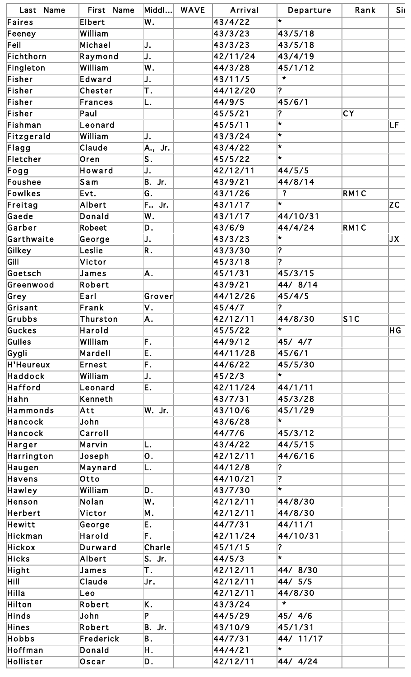| Last Name        | First Name     | Middl                 | <b>WAVE</b> | Arrival  | Departure               | Rank              | Sil  |
|------------------|----------------|-----------------------|-------------|----------|-------------------------|-------------------|------|
| Faires           | Elbert         | W.                    |             | 43/4/22  | $\star$                 |                   |      |
| Feeney           | William        |                       |             | 43/3/23  | 43/5/18                 |                   |      |
| $ Fe$ il         | Michael        | IJ.                   |             | 43/3/23  | 43/5/18                 |                   |      |
| Fichthorn        | Raymond        | IJ.                   |             | 42/11/24 | 43/4/19                 |                   |      |
| Fingleton        | William        | W.                    |             | 44/3/28  | 45/1/12                 |                   |      |
| Fisher           | Edward         | IJ.                   |             | 43/11/5  | $\star$                 |                   |      |
| Fisher           | <b>Chester</b> | T.                    |             | 44/12/20 | $\overline{?}$          |                   |      |
| Fisher           | Frances        | L.                    |             | 44/9/5   | 45/6/1                  |                   |      |
| Fisher           | Paul           |                       |             | 45/5/21  | $\overline{\mathbf{?}}$ | <b>CY</b>         |      |
| Fishman          | Leonard        |                       |             | 45/5/11  | $\star$                 |                   | LF   |
| Fitzgerald       | William        | IJ.                   |             | 43/3/24  | ₩                       |                   |      |
| Flagg            | Claude         | A., Jr.               |             | 43/4/22  | $\star$                 |                   |      |
| Fletcher         | Oren           | S.                    |             | 45/5/22  | $\star$                 |                   |      |
| Fogg             | Howard         | IJ.                   |             | 42/12/11 | 44/5/5                  |                   |      |
| Foushee          | $\sf S$ a m    | B. Jr.                |             | 43/9/21  | 44/8/14                 |                   |      |
| Fowlkes          | Evt.           | G.                    |             | 43/1/26  | $\overline{?}$          | RM <sub>1</sub> C |      |
| Freitag          | Albert         | F Jr.                 |             | 43/1/17  | $\star$                 |                   | ZC   |
| Gaede            | Donald         | W.                    |             | 43/1/17  | 44/10/31                |                   |      |
| Garber           | Robeet         | D.                    |             | 43/6/9   | 44/4/24                 | RM1C              |      |
| Garthwaite       | George         | IJ.                   |             | 43/3/23  | ₩                       |                   | JX . |
| Gilkey           | Leslie         | R.                    |             | 43/3/30  | $\vert$ ?               |                   |      |
| Gill             | Victor         |                       |             | 45/3/18  | ?                       |                   |      |
| Goetsch          | James          | A.                    |             | 45/1/31  | 45/3/15                 |                   |      |
| Greenwood        | Robert         |                       |             | 43/9/21  | 44/8/14                 |                   |      |
| Grey             | Earl           | $ {\mathsf{Grower}} $ |             | 44/12/26 | 45/4/5                  |                   |      |
| Grisant          | Frank          | V.                    |             | 45/4/7   | $\overline{?}$          |                   |      |
| Grubbs           | Thurston       | A.                    |             | 42/12/11 | 44/8/30                 | S1C               |      |
| Guckes           | Harold         |                       |             | 45/5/22  | $\star$                 |                   | HG   |
| Guiles           | William        | F.                    |             | 44/9/12  | 45/ 4/7                 |                   |      |
| Gygli            | Mardell        | E.                    |             | 44/11/28 | 45/6/1                  |                   |      |
| <b>H'Heureux</b> | Ernest         | F.                    |             | 44/6/22  | 45/5/30                 |                   |      |
| Haddock          | William        | IJ.                   |             | 45/2/3   | $\star$                 |                   |      |
| Hafford          | Leonard        | Ε.                    |             | 42/11/24 | 44/1/11                 |                   |      |
| Hahn             | Kenneth        |                       |             | 43/7/31  | 45/3/28                 |                   |      |
| Hammonds         | Att            | W. Jr.                |             | 43/10/6  | 45/1/29                 |                   |      |
| Hancock          | John           |                       |             | 43/6/28  | $\star$                 |                   |      |
| Hancock          | Carroll        |                       |             | 44/7/6   | 45/3/12                 |                   |      |
| Harger           | Marvin         | L.                    |             | 43/4/22  | 44/5/15                 |                   |      |
| Harrington       | Joseph         | 0.                    |             | 42/12/11 | 44/6/16                 |                   |      |
| Haugen           | Maynard        | L.                    |             | 44/12/8  | ?                       |                   |      |
| Havens           | Otto           |                       |             | 44/10/21 | $\overline{\mathbf{?}}$ |                   |      |
| Hawley           | William        | D.                    |             | 43/7/30  | ₩                       |                   |      |
| Henson           | Nolan          | W.                    |             | 42/12/11 | 44/8/30                 |                   |      |
| Herbert          | Victor         | M.                    |             | 42/12/11 | 44/8/30                 |                   |      |
| Hewitt           | George         | Ε.                    |             | 44/7/31  | 44/11/1                 |                   |      |
| Hickman          | <b>Harold</b>  | F.                    |             | 42/11/24 | 44/10/31                |                   |      |
| <b>Hickox</b>    | Durward        | Charle                |             | 45/1/15  | ?                       |                   |      |
| Hicks            | Albert         | S. Jr.                |             | 44/5/3   | ₩                       |                   |      |
| Hight            | James          | Τ.                    |             | 42/12/11 | 44/8/30                 |                   |      |
| Hill             | Claude         | Jr.                   |             | 42/12/11 | 44/ 5/5                 |                   |      |
| Hilla            | Leo            |                       |             | 42/12/11 | 44/8/30                 |                   |      |
| Hilton           | Robert         | K.                    |             | 43/3/24  | $\star$                 |                   |      |
| Hinds            | John           | P                     |             | 44/5/29  | 45/ 4/6                 |                   |      |
| Hines            | Robert         | B. Jr.                |             | 43/10/9  | 45/1/31                 |                   |      |
| Hobbs            | Frederick      | Β.                    |             | 44/7/31  | 44/ 11/17               |                   |      |
| Hoffman          | Donald         | Η.                    |             | 44/4/21  | $\star$                 |                   |      |
| Hollister        | Oscar          | D.                    |             | 42/12/11 | 44/ 4/24                |                   |      |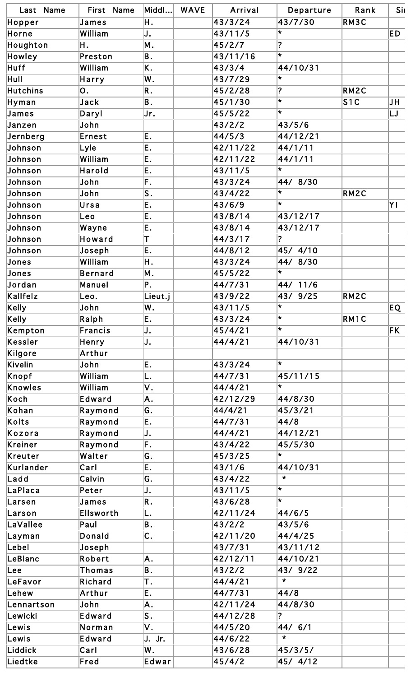| Last Name       | First Name       | Middl…l                   | <b>WAVE</b> | Arrival  | Departure               | Rank              | Sil |
|-----------------|------------------|---------------------------|-------------|----------|-------------------------|-------------------|-----|
| Hopper          | James            | Η.                        |             | 43/3/24  | 43/7/30                 | RM3C              |     |
| Horne           | William          | J.                        |             | 43/11/5  | $\star$                 |                   | ED  |
| Houghton        | Η.               | Μ.                        |             | 45/2/7   | $\overline{\mathbf{?}}$ |                   |     |
| Howley          | Preston          | B.                        |             | 43/11/16 | l*                      |                   |     |
| Huff            | William          | Κ.                        |             | 43/3/4   | 44/10/31                |                   |     |
| Hull            | Harry            | W.                        |             | 43/7/29  | $\star$                 |                   |     |
| <b>Hutchins</b> | О.               | R.                        |             | 45/2/28  | $\overline{?}$          | RM <sub>2</sub> C |     |
| Hyman           | Jack             | B.                        |             | 45/1/30  | $\star$                 | S1C               | JH  |
| James           | Daryl            | Jr.                       |             | 45/5/22  | l.                      |                   | LJ  |
| Janzen          | John             |                           |             | 43/2/2   | 43/5/6                  |                   |     |
| Jernberg        | Ernest           | Ε.                        |             | 44/5/3   | 44/12/21                |                   |     |
| Johnson         | Lyle             | E.                        |             | 42/11/22 | 44/1/11                 |                   |     |
| Johnson         | William          | E.                        |             | 42/11/22 | 44/1/11                 |                   |     |
| Johnson         | Harold           | E.                        |             | 43/11/5  | $\star$                 |                   |     |
| Johnson         | John             | F.                        |             | 43/3/24  | 44/8/30                 |                   |     |
| Johnson         | John             | $ \mathsf{S}%$ .          |             | 43/4/22  | ₩                       | RM2C              |     |
| Johnson         | Ursa             | Ε.                        |             | 43/6/9   | $\star$                 |                   | YI  |
| Johnson         | Leo              | E.                        |             | 43/8/14  | 43/12/17                |                   |     |
| Johnson         | Wayne            | E.                        |             | 43/8/14  | 43/12/17                |                   |     |
| Johnson         | <b>Howard</b>    | Т                         |             | 44/3/17  | $\overline{\mathbf{?}}$ |                   |     |
| Johnson         | Joseph           | E.                        |             | 44/8/12  | 45/ 4/10                |                   |     |
| Jones           | William          | Η.                        |             | 43/3/24  | 44/ 8/30                |                   |     |
| Jones           | <b>Bernard</b>   | Μ.                        |             | 45/5/22  | $\star$                 |                   |     |
| Jordan          | Manuel           | P.                        |             | 44/7/31  | 44/ 11/6                |                   |     |
| Kallfelz        | Leo.             | Lieut.j                   |             | 43/9/22  | 43/ 9/25                | RM2C              |     |
| Kelly           | John             | W.                        |             | 43/11/5  | ∗                       |                   | EQ. |
| Kelly           | Ralph            | E.                        |             | 43/3/24  | ₩                       | RM1C              |     |
| Kempton         | <b>Francis</b>   | IJ.                       |             | 45/4/21  | ×                       |                   | FK  |
| Kessler         | Henry            | IJ.                       |             | 44/4/21  | 44/10/31                |                   |     |
| Kilgore         | Arthur           |                           |             |          |                         |                   |     |
| Kivelin         | John             | E.                        |             | 43/3/24  | ×                       |                   |     |
| Knopf           | William          | L.                        |             | 44/7/31  | 45/11/15                |                   |     |
| Knowles         | William          | ۷.                        |             | 44/4/21  | $\star$                 |                   |     |
| Koch            | Edward           | A.                        |             | 42/12/29 | 44/8/30                 |                   |     |
| Kohan           | Raymond          | G.                        |             | 44/4/21  | 45/3/21                 |                   |     |
| Kolts           | Raymond          | E.                        |             | 44/7/31  | 44/8                    |                   |     |
| Kozora          | Raymond          | IJ.                       |             | 44/4/21  | 44/12/21                |                   |     |
| Kreiner         | Raymond          | F.                        |             | 43/4/22  | 45/5/30                 |                   |     |
| Kreuter         | Walter           | G.                        |             | 45/3/25  | $\star$                 |                   |     |
| Kurlander       | Carl             | E.                        |             | 43/1/6   | 44/10/31                |                   |     |
| Ladd            | Calvin           | G.                        |             | 43/4/22  | $\star$                 |                   |     |
| LaPlaca         | Peter            | IJ.                       |             | 43/11/5  | l.                      |                   |     |
| Larsen          | James            | R.                        |             | 43/6/28  | ×                       |                   |     |
| Larson          | Ellsworth        | L.                        |             | 42/11/24 | 44/6/5                  |                   |     |
| LaVallee        | Paul             | B.                        |             | 43/2/2   | 43/5/6                  |                   |     |
| Layman          | <b>Donald</b>    | $\overline{\mathsf{C}}$ . |             | 42/11/20 | 44/4/25                 |                   |     |
| $\sf Lebel$     |                  |                           |             | 43/7/31  | 43/11/12                |                   |     |
| LeBlanc         | Joseph<br>Robert | A.                        |             | 42/12/11 | 44/10/21                |                   |     |
| $\vert$ Lee     | Thomas           | B.                        |             | 43/2/2   | 43/ 9/22                |                   |     |
| LeFavor         | Richard          |                           |             |          | $\star$                 |                   |     |
|                 |                  | Τ.                        |             | 44/4/21  |                         |                   |     |
| Lehew           | Arthur           | E.                        |             | 44/7/31  | 44/8                    |                   |     |
| Lennartson      | John             | A.                        |             | 42/11/24 | 44/8/30                 |                   |     |
| Lewicki         | Edward           | S.                        |             | 44/12/28 | $\overline{\mathbf{?}}$ |                   |     |
| Lewis           | Norman           | ν.                        |             | 44/5/20  | 44/ 6/1                 |                   |     |
| Lewis           | <b>Edward</b>    | J. Jr.                    |             | 44/6/22  | $\star$                 |                   |     |
| Liddick         | Carl             | W.                        |             | 43/6/28  | 45/3/5/                 |                   |     |
| Liedtke         | Fred             | Edwar                     |             | 45/4/2   | 45/ 4/12                |                   |     |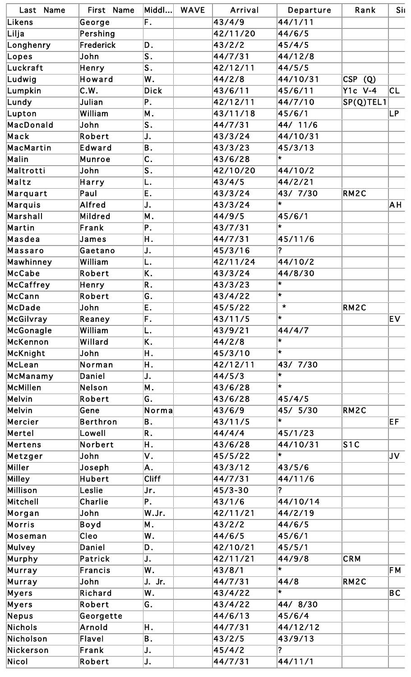| Last Name         | First Name      | $ $ Middl $\ldots $       | <b>WAVE</b> | Arrival     | Departure                          | Rank              | Sil                               |
|-------------------|-----------------|---------------------------|-------------|-------------|------------------------------------|-------------------|-----------------------------------|
| Likens            | George          | F.                        |             | 43/4/9      | 44/1/11                            |                   |                                   |
| Lilja             | Pershing        |                           |             | 42/11/20    | 44/6/5                             |                   |                                   |
| Longhenry         | Frederick       | D.                        |             | 43/2/2      | 45/4/5                             |                   |                                   |
| Lopes             | John            | S <sub>1</sub>            |             | 44/7/31     | 44/12/8                            |                   |                                   |
| Luckraft          | Henry           | S.                        |             | 42/12/11    | 44/5/5                             |                   |                                   |
| Ludwig            | Howard          | W.                        |             | 44/2/8      | 44/10/31                           | <b>CSP</b><br>(Q) |                                   |
| Lumpkin           | C.W.            | <b>Dick</b>               |             | 43/6/11     | 45/6/11                            | <b>Y1c V-4</b>    | CL                                |
| Lundy             | Julian          | P.                        |             | 42/12/11    | 44/7/10                            | SP(Q)TEL1         |                                   |
| Lupton            | William         | M.                        |             | 43/11/18    | 45/6/1                             |                   | LP.                               |
| MacDonald         | John            | S.                        |             | 44/7/31     | 44/ 11/6                           |                   |                                   |
| Mack              | Robert          | J.                        |             | 43/3/24     | 44/10/31                           |                   |                                   |
| MacMartin         | Edward          | B.                        |             | 43/3/23     | 45/3/13                            |                   |                                   |
| Malin             | <b>Munroe</b>   | $\overline{\mathsf{c}}$ . |             | 43/6/28     | $\star$                            |                   |                                   |
| Maltrotti         | John            | S.                        |             | 42/10/20    | 44/10/2                            |                   |                                   |
| Maltz             | Harry           | L.                        |             | 43/4/5      | 44/2/21                            |                   |                                   |
| Marquart          | Paul            | E.                        |             | 43/3/24     | 43/ 7/30                           | RM2C              |                                   |
| Marquis           | Alfred          | J.                        |             | 43/3/24     | $\star$                            |                   | AΗ                                |
| Marshall          | Mildred         | M.                        |             | 44/9/5      | 45/6/1                             |                   |                                   |
| Martin            | Frank           | P.                        |             | 43/7/31     | $\star$                            |                   |                                   |
| Masdea            | James           | Η.                        |             | 44/7/31     | 45/11/6                            |                   |                                   |
| Massaro           | Gaetano         | J.                        |             | 45/3/16     | $\overline{\mathbf{?}}$            |                   |                                   |
| Mawhinney         | William         | L.                        |             | 42/11/24    | 44/10/2                            |                   |                                   |
| McCabe            | Robert          | K.                        |             | 43/3/24     | 44/8/30                            |                   |                                   |
| McCaffrey         | Henry           | R.                        |             | 43/3/23     | $\star$                            |                   |                                   |
| McCann            | Robert          | G.                        |             | 43/4/22     | l.                                 |                   |                                   |
| McDade            | John            | E.                        |             | 45/5/22     | $\star$                            | RM2C              |                                   |
| McGilvray         | Reaney          | F.                        |             | 43/11/5     | $\star$                            |                   | EV.                               |
| McGonagle         | William         | L.                        |             | 43/9/21     | 44/4/7                             |                   |                                   |
| McKennon          | Willard         | K.                        |             | 44/2/8      | ₩                                  |                   |                                   |
| McKnight          | John            | Η.                        |             | 45/3/10     | l.                                 |                   |                                   |
| McLean            | Norman          | Η.                        |             | 42/12/11    | 43/ 7/30                           |                   |                                   |
| McManamy          | Daniel          | J.                        |             | 44/5/3      | ₩                                  |                   |                                   |
| McMillen          | Nelson          | M.                        |             | 43/6/28     | $\star$                            |                   |                                   |
| Melvin            | Robert          | G.                        |             | 43/6/28     | 45/4/5                             |                   |                                   |
| Melvin            | Gene            | Norma                     |             | 43/6/9      | 45/ 5/30                           | RM2C              |                                   |
| Mercier           | <b>Berthron</b> | B.                        |             | 43/11/5     | $\star$                            |                   | EF.                               |
| Mertel            | Lowell          | R.                        |             | 44/4/4      | 45/1/23                            |                   |                                   |
| Mertens           | Norbert         | Η.                        |             | 43/6/28     | 44/10/31                           | S1C               |                                   |
|                   | John            |                           |             | 45/5/22     | $\star$                            |                   | JV                                |
| Metzger<br>Miller |                 | ٧.                        |             | 43/3/12     | 43/5/6                             |                   |                                   |
|                   | Joseph          | Α.                        |             |             |                                    |                   |                                   |
| Milley            | Hubert          | <b>Cliff</b>              |             | 44/7/31     | 44/11/6<br>$\overline{\mathbf{?}}$ |                   |                                   |
| Millison          | Leslie          | Jr.                       |             | $45/3 - 30$ |                                    |                   |                                   |
| Mitchell          | Charlie         | P                         |             | 43/1/6      | 44/10/14                           |                   |                                   |
| Morgan            | John            | W.Jr.                     |             | 42/11/21    | 44/2/19                            |                   |                                   |
| Morris            | Boyd            | M.                        |             | 43/2/2      | 44/6/5                             |                   |                                   |
| Moseman           | Cleo            | W.                        |             | 44/6/5      | 45/6/1                             |                   |                                   |
| Mulvey            | Daniel          | D.                        |             | 42/10/21    | 45/5/1                             |                   |                                   |
| Murphy            | Patrick         | J.                        |             | 42/11/21    | 44/9/8<br>$\star$                  | CRM               |                                   |
| Murray            | <b>Francis</b>  | W.                        |             | 43/8/1      |                                    |                   | F M                               |
| Murray            | John            | J. Jr.                    |             | 44/7/31     | 44/8<br>l.                         | RM2C              |                                   |
| Myers             | Richard         | W.                        |             | 43/4/22     |                                    |                   | $\overline{\mathsf{B}}\mathsf{C}$ |
| Myers             | Robert          | G.                        |             | 43/4/22     | 44/ 8/30                           |                   |                                   |
| Nepus             | Georgette       |                           |             | 44/6/13     | 45/6/4                             |                   |                                   |
| Nichols           | Arnold          | Η.                        |             | 44/7/31     | 44/12/12                           |                   |                                   |
| Nicholson         | Flavel          | Β.                        |             | 43/2/5      | 43/9/13                            |                   |                                   |
| Nickerson         | Frank           | J.                        |             | 45/4/2      | ?                                  |                   |                                   |
| Nicol             | Robert          | J.                        |             | 44/7/31     | 44/11/1                            |                   |                                   |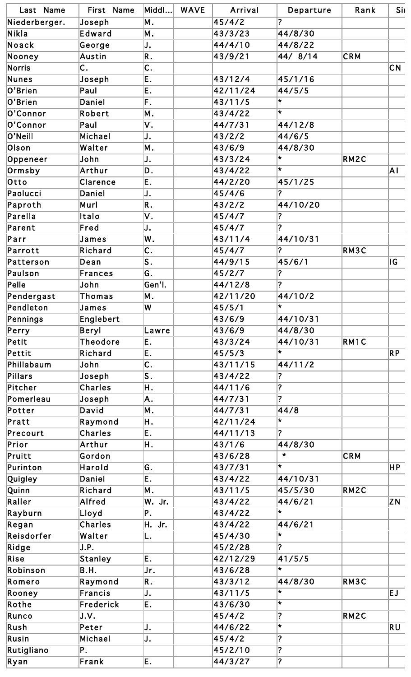| Last Name     | First Name      | Middl                     | <b>WAVE</b> | Arrival  | Departure                  | Rank              | Sil                      |
|---------------|-----------------|---------------------------|-------------|----------|----------------------------|-------------------|--------------------------|
| Niederberger. | Joseph          | Μ.                        |             | 45/4/2   | ?                          |                   |                          |
| Nikla         | Edward          | Μ.                        |             | 43/3/23  | 44/8/30                    |                   |                          |
| Noack         | George          | J.                        |             | 44/4/10  | 44/8/22                    |                   |                          |
| Nooney        | Austin          | R.                        |             | 43/9/21  | 44/ 8/14                   | CRM               |                          |
| <b>Norris</b> | C.              | $\mathsf{C}$ .            |             |          |                            |                   | CN                       |
| <b>Nunes</b>  | Joseph          | Ε.                        |             | 43/12/4  | 45/1/16                    |                   |                          |
| O'Brien       | Paul            | Ε.                        |             | 42/11/24 | 44/5/5                     |                   |                          |
| O'Brien       | Daniel          | F.                        |             | 43/11/5  | $\star$                    |                   |                          |
| O'Connor      | Robert          | Μ.                        |             | 43/4/22  | l*                         |                   |                          |
| O'Connor      | Paul            | ۷.                        |             | 44/7/31  | 44/12/8                    |                   |                          |
| O'Neill       | Michael         | J.                        |             | 43/2/2   | 44/6/5                     |                   |                          |
| Olson         | Walter          | Μ.                        |             | 43/6/9   | 44/8/30                    |                   |                          |
| Oppeneer      | John            | J.                        |             | 43/3/24  | $\star$                    | RM2C              |                          |
| Ormsby        | Arthur          | D.                        |             | 43/4/22  | $\star$                    |                   | Ā١                       |
| Otto          | Clarence        | Ε.                        |             | 44/2/20  | 45/1/25                    |                   |                          |
| Paolucci      | Daniel          | J.                        |             | 45/4/6   | ?                          |                   |                          |
| Paproth       | Murl            | R.                        |             | 43/2/2   | 44/10/20                   |                   |                          |
| Parella       | Italo           | ٧.                        |             | 45/4/7   | $\overline{\mathbf{?}}$    |                   |                          |
| Parent        | Fred            | J.                        |             | 45/4/7   | $\overline{?}$             |                   |                          |
| Parr          | James           | W.                        |             | 43/11/4  | 44/10/31                   |                   |                          |
| Parrott       | Richard         | $\mathsf{C}$ .            |             | 45/4/7   | $\boldsymbol{\mathcal{P}}$ | RM3C              |                          |
| Patterson     | Dean            | S.                        |             | 44/9/15  | 45/6/1                     |                   | IG.                      |
| Paulson       | Frances         | G.                        |             | 45/2/7   | $\overline{\mathbf{?}}$    |                   |                          |
| Pelle         |                 |                           |             |          | $\overline{\mathbf{?}}$    |                   |                          |
|               | John            | Gen'l.                    |             | 44/12/8  |                            |                   |                          |
| Pendergast    | <b>Thomas</b>   | Μ.                        |             | 42/11/20 | 44/10/2<br>$\star$         |                   |                          |
| Pendleton     | James           | W                         |             | 45/5/1   |                            |                   |                          |
| Pennings      | Englebert       |                           |             | 43/6/9   | 44/10/31                   |                   |                          |
| Perry         | <b>Beryl</b>    | Lawre                     |             | 43/6/9   | 44/8/30                    |                   |                          |
| Petit         | <b>Theodore</b> | Ε.                        |             | 43/3/24  | 44/10/31                   | RM <sub>1</sub> C |                          |
| Pettit        | Richard         | Ε.                        |             | 45/5/3   | $\star$                    |                   | $\overline{\mathsf{RP}}$ |
| Phillabaum    | John            | $\overline{\mathsf{c}}$ . |             | 43/11/15 | 44/11/2                    |                   |                          |
| Pillars       | Joseph          | S.                        |             | 43/4/22  | $\overline{\mathbf{?}}$    |                   |                          |
| Pitcher       | <b>Charles</b>  | Η.                        |             | 44/11/6  | ?                          |                   |                          |
| Pomerleau     | Joseph          | Α.                        |             | 44/7/31  | $\overline{?}$             |                   |                          |
| Potter        | David           | Μ.                        |             | 44/7/31  | 44/8                       |                   |                          |
| Pratt         | Raymond         | Η.                        |             | 42/11/24 | $\star$                    |                   |                          |
| Precourt      | <b>Charles</b>  | Ε.                        |             | 44/11/13 | $\overline{?}$             |                   |                          |
| Prior         | Arthur          | Η.                        |             | 43/1/6   | 44/8/30                    |                   |                          |
| Pruitt        | Gordon          |                           |             | 43/6/28  | $\star$                    | CRM               |                          |
| Purinton      | Harold          | G.                        |             | 43/7/31  | $\star$                    |                   | HP                       |
| Quigley       | Daniel          | Ε.                        |             | 43/4/22  | 44/10/31                   |                   |                          |
| Quinn         | Richard         | Μ.                        |             | 43/11/5  | 45/5/30                    | RM2C              |                          |
| Raller        | Alfred          | W. Jr.                    |             | 43/4/22  | 44/6/21                    |                   | ZΝ                       |
| Rayburn       | Lloyd           | Ρ.                        |             | 43/4/22  | $\star$                    |                   |                          |
| Regan         | <b>Charles</b>  | H. Jr.                    |             | 43/4/22  | 44/6/21                    |                   |                          |
| Reisdorfer    | Walter          | L.                        |             | 45/4/30  | $\star$                    |                   |                          |
| Ridge         | J.P.            |                           |             | 45/2/28  | $\overline{\mathbf{r}}$    |                   |                          |
| Rise          | <b>Stanley</b>  | Ε.                        |             | 42/12/29 | 41/5/5                     |                   |                          |
| Robinson      | B.H.            | Jr.                       |             | 43/6/28  | $\star$                    |                   |                          |
| Romero        | Raymond         | R.                        |             | 43/3/12  | 44/8/30                    | RM3C              |                          |
| Rooney        | Francis         | J.                        |             | 43/11/5  | $\star$                    |                   | EJ.                      |
| Rothe         | Frederick       | Ε.                        |             | 43/6/30  | $\star$                    |                   |                          |
| Runco         | J.V.            |                           |             | 45/4/2   | $\overline{\mathbf{?}}$    | RM2C              |                          |
| Rush          | Peter           | J.                        |             | 44/6/22  | $\pmb{\star}$              |                   | RU                       |
| Rusin         | Michael         | J.                        |             | 45/4/2   | $\overline{\mathbf{?}}$    |                   |                          |
| Rutigliano    | Ρ.              |                           |             | 45/2/10  | $\overline{\mathbf{?}}$    |                   |                          |
| Ryan          | Frank           | Ε.                        |             | 44/3/27  | $\overline{\mathbf{?}}$    |                   |                          |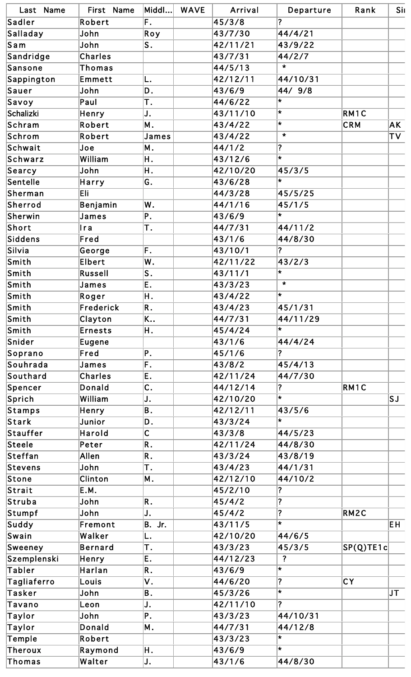| Last Name   | First Name     | Middl                   | <b>WAVE</b> | Arrival         | Departure               | Rank      | Sil           |
|-------------|----------------|-------------------------|-------------|-----------------|-------------------------|-----------|---------------|
| Sadler      | Robert         | F.                      |             | 45/3/8          | ?                       |           |               |
| Salladay    | John           | Roy                     |             | 43/7/30         | 44/4/21                 |           |               |
| San         | John           | S.                      |             | 42/11/21        | 43/9/22                 |           |               |
| Sandridge   | <b>Charles</b> |                         |             | 43/7/31         | 44/2/7                  |           |               |
| Sansone     | Thomas         |                         |             | 44/5/13         | $\star$                 |           |               |
| Sappington  | Emmett         | L.                      |             | 42/12/11        | 44/10/31                |           |               |
| Sauer       | John           | D.                      |             | 43/6/9          | 44/ 9/8                 |           |               |
| Savoy       | Paul           | Τ.                      |             | 44/6/22         | $\star$                 |           |               |
| Schalizki   | Henry          | J.                      |             | 43/11/10        | $\star$                 | RM1C      |               |
| Schram      | Robert         | Μ.                      |             | 43/4/22         | $\star$                 | CRM       | AΚ            |
| Schrom      | Robert         | James                   |             | 43/4/22         | $\star$                 |           | $\mathsf{TV}$ |
| Schwait     | Joe            | M.                      |             | 44/1/2          | $\overline{\mathbf{?}}$ |           |               |
| Schwarz     | William        | Η.                      |             | 43/12/6         | $\star$                 |           |               |
| Searcy      | John           | Η.                      |             | 42/10/20        | 45/3/5                  |           |               |
| Sentelle    | Harry          | G.                      |             | 43/6/28         | $\star$                 |           |               |
| Sherman     | Eli            |                         |             | 44/3/28         | 45/5/25                 |           |               |
| Sherrod     | Benjamin       | W.                      |             | 44/1/16         | 45/1/5                  |           |               |
| Sherwin     | James          | P.                      |             | 43/6/9          | $\star$                 |           |               |
| Short       | Ira            | Τ.                      |             | 44/7/31         | 44/11/2                 |           |               |
| Siddens     | Fred           |                         |             | 43/1/6          | 44/8/30                 |           |               |
| Silvia      | George         | F.                      |             | 43/10/1         | ?                       |           |               |
| Smith       | <b>Elbert</b>  | W.                      |             | 42/11/22        | 43/2/3                  |           |               |
| Smith       | <b>Russell</b> | S.                      |             | 43/11/1         | $\star$                 |           |               |
| Smith       | James          | E.                      |             | 43/3/23         | $\pmb{\times}$          |           |               |
| Smith       |                |                         |             | 43/4/22         | $\star$                 |           |               |
|             | Roger          | Η.                      |             |                 |                         |           |               |
| Smith       | Frederick      | R.                      |             | 43/4/23         | 45/1/31                 |           |               |
| Smith       | Clayton        | K                       |             | 44/7/31         | 44/11/29<br>$\star$     |           |               |
| Smith       | <b>Ernests</b> | Η.                      |             | 45/4/24         |                         |           |               |
| Snider      | Eugene         |                         |             | 43/1/6          | 44/4/24                 |           |               |
| Soprano     | Fred           | P.                      |             | 45/1/6          | $\overline{\mathbf{?}}$ |           |               |
| Souhrada    | James          | F.                      |             | $\sqrt{43/8/2}$ | 45/4/13                 |           |               |
| Southard    | <b>Charles</b> | E.                      |             | 42/11/24        | 44/7/30                 |           |               |
| Spencer     | <b>Donald</b>  | C.                      |             | 44/12/14        | ?                       | RM1C      |               |
| Sprich      | William        | J.                      |             | 42/10/20        | $\star$                 |           | SJ            |
| Stamps      | Henry          | B.                      |             | 42/12/11        | 43/5/6                  |           |               |
| Stark       | Junior         | D.                      |             | 43/3/24         | $\star$                 |           |               |
| Stauffer    | Harold         | $\overline{\mathsf{C}}$ |             | 43/3/8          | 44/5/23                 |           |               |
| Steele      | Peter          | R.                      |             | 42/11/24        | 44/8/30                 |           |               |
| Steffan     | <b>Allen</b>   | R.                      |             | 43/3/24         | 43/8/19                 |           |               |
| Stevens     | John           | Τ.                      |             | 43/4/23         | 44/1/31                 |           |               |
| Stone       | Clinton        | M.                      |             | 42/12/10        | 44/10/2                 |           |               |
| Strait      | E.M.           |                         |             | 45/2/10         | $\overline{\mathbf{?}}$ |           |               |
| Struba      | John           | R.                      |             | 45/4/2          | $\overline{\mathbf{?}}$ |           |               |
| Stumpf      | John           | J.                      |             | 45/4/2          | $\overline{\mathbf{?}}$ | RM2C      |               |
| Suddy       | Fremont        | B. Jr.                  |             | 43/11/5         | $\star$                 |           | EH.           |
| Swain       | Walker         | L.                      |             | 42/10/20        | 44/6/5                  |           |               |
| Sweeney     | <b>Bernard</b> | Τ.                      |             | 43/3/23         | 45/3/5                  | SP(Q)TE1c |               |
| Szemplenski | Henry          | E.                      |             | 44/12/23        | $\overline{\mathbf{?}}$ |           |               |
| Tabler      | Harlan         | R.                      |             | 43/6/9          | $\star$                 |           |               |
| Tagliaferro | Louis          | ۷.                      |             | 44/6/20         | $\overline{\mathbf{?}}$ | CY        |               |
| Tasker      | John           | B.                      |             | 45/3/26         | $\star$                 |           | $J$ T         |
| Tavano      | Leon           | J.                      |             | 42/11/10        | $\overline{\mathbf{?}}$ |           |               |
| Taylor      | John           | P.                      |             | 43/3/23         | 44/10/31                |           |               |
| Taylor      | Donald         | M.                      |             | 44/7/31         | 44/12/8                 |           |               |
| Temple      | Robert         |                         |             | 43/3/23         | $\star$                 |           |               |
| Theroux     | Raymond        | Η.                      |             | 43/6/9          | $\star$                 |           |               |
| Thomas      | Walter         | J.                      |             | 43/1/6          | 44/8/30                 |           |               |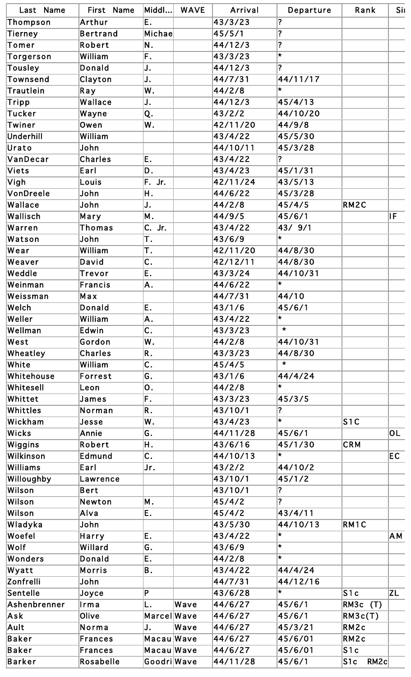| Last Name       | First Name      | Middl            | <b>WAVE</b> | Arrival  | Departure               | Rank                  | Sil |
|-----------------|-----------------|------------------|-------------|----------|-------------------------|-----------------------|-----|
| Thompson        | Arthur          | E.               |             | 43/3/23  | $\overline{\mathbf{?}}$ |                       |     |
| Tierney         | <b>Bertrand</b> | <b>Michae</b>    |             | 45/5/1   | $\overline{\mathbf{?}}$ |                       |     |
| Tomer           | Robert          | N.               |             | 44/12/3  | $\overline{\mathbf{?}}$ |                       |     |
| Torgerson       | William         | F.               |             | 43/3/23  | $\star$                 |                       |     |
| Tousley         | <b>Donald</b>   | J.               |             | 44/12/3  | $\overline{\mathbf{?}}$ |                       |     |
| <b>Townsend</b> | Clayton         | IJ.              |             | 44/7/31  | 44/11/17                |                       |     |
| Trautlein       | Ray             | W.               |             | 44/2/8   | $\star$                 |                       |     |
| Tripp           | Wallace         | IJ.              |             | 44/12/3  | 45/4/13                 |                       |     |
| Tucker          | Wayne           | Q.               |             | 43/2/2   | 44/10/20                |                       |     |
| Twiner          | Owen            | W.               |             | 42/11/20 | 44/9/8                  |                       |     |
| Underhill       | William         |                  |             | 43/4/22  | 45/5/30                 |                       |     |
| Urato           | John            |                  |             | 44/10/11 | 45/3/28                 |                       |     |
| VanDecar        | <b>Charles</b>  | E.               |             | 43/4/22  | $\overline{\mathbf{?}}$ |                       |     |
| Viets           | Earl            | D.               |             | 43/4/23  | 45/1/31                 |                       |     |
| Vigh            | Louis           | F. Jr.           |             | 42/11/24 | 43/5/13                 |                       |     |
| VonDreele       | John            | Η.               |             | 44/6/22  | 45/3/28                 |                       |     |
| Wallace         | John            | IJ.              |             | 44/2/8   | 45/4/5                  | RM2C                  |     |
| Wallisch        | Mary            | M.               |             | 44/9/5   | 45/6/1                  |                       | lF. |
| Warren          | Thomas          | C. Jr.           |             | 43/4/22  | 43/ 9/1                 |                       |     |
| Watson          | John            | Τ.               |             | 43/6/9   | $\star$                 |                       |     |
| Wear            | William         | Τ.               |             | 42/11/20 | 44/8/30                 |                       |     |
| Weaver          | David           | $\overline{c}$ . |             | 42/12/11 | 44/8/30                 |                       |     |
| Weddle          | <b>Trevor</b>   | Ε.               |             | 43/3/24  | 44/10/31                |                       |     |
| Weinman         | <b>Francis</b>  | A.               |             | 44/6/22  | $\star$                 |                       |     |
| Weissman        | Max             |                  |             | 44/7/31  | 44/10                   |                       |     |
| Welch           | Donald          | E.               |             | 43/1/6   | 45/6/1                  |                       |     |
| Weller          | William         | A.               |             | 43/4/22  | $\star$                 |                       |     |
| Wellman         | Edwin           | $\overline{c}$ . |             | 43/3/23  | $\star$                 |                       |     |
| West            | Gordon          | W.               |             | 44/2/8   | 44/10/31                |                       |     |
| Wheatley        | Charles         | R.               |             | 43/3/23  | 44/8/30                 |                       |     |
| White           | William         | $\overline{c}$ . |             | 45/4/5   | $\star$                 |                       |     |
| Whitehouse      | Forrest         | G.               |             | 43/1/6   | 44/4/24                 |                       |     |
| Whitesell       | Leon            | 0.               |             | 44/2/8   | $\star$                 |                       |     |
| Whittet         | James           | F.               |             | 43/3/23  | 45/3/5                  |                       |     |
| Whittles        | Norman          | R.               |             | 43/10/1  | $\overline{\mathbf{?}}$ |                       |     |
| Wickham         | Jesse           | W.               |             | 43/4/23  | $\star$                 | S1C                   |     |
| Wicks           | Annie           | G.               |             | 44/11/28 | 45/6/1                  |                       | OL  |
| Wiggins         | Robert          | Η.               |             | 43/6/16  | 45/1/30                 | <b>CRM</b>            |     |
| Wilkinson       | Edmund          | $\mathsf{C}$ .   |             | 44/10/13 | $\star$                 |                       | EC. |
| Williams        | Earl            | Jr.              |             | 43/2/2   | 44/10/2                 |                       |     |
| Willoughby      | Lawrence        |                  |             | 43/10/1  | 45/1/2                  |                       |     |
| Wilson          | <b>Bert</b>     |                  |             | 43/10/1  | $\overline{\mathbf{?}}$ |                       |     |
| Wilson          | Newton          | M.               |             | 45/4/2   | $\overline{?}$          |                       |     |
| Wilson          | Alva            | Ε.               |             | 45/4/2   | 43/4/11                 |                       |     |
| Wladyka         | John            |                  |             | 43/5/30  | 44/10/13                | RM1C                  |     |
| Woefel          | Harry           | E.               |             | 43/4/22  | $\vert \star \vert$     |                       | AΜ  |
| Wolf            | Willard         | G.               |             | 43/6/9   | l x                     |                       |     |
| Wonders         | <b>Donald</b>   | E.               |             | 44/2/8   | l*                      |                       |     |
| Wyatt           | <b>Morris</b>   | B.               |             | 43/4/22  | 44/4/24                 |                       |     |
| Zonfrelli       | John            |                  |             | 44/7/31  | 44/12/16                |                       |     |
| Sentelle        | Joyce           | P                |             | 43/6/28  | $\star$                 | S1c                   | ZL  |
| Ashenbrenner    | Irma            | L.               | Wave        | 44/6/27  | 45/6/1                  | RM3c<br>(T)           |     |
| Ask             | Olive           | Marcel Wave      |             | 44/6/27  | 45/6/1                  | RM3c(T)               |     |
| Ault            | Norma           | IJ.              | Wave        | 44/6/27  | 45/3/21                 | RM2c                  |     |
| Baker           | Frances         | Macau Wave       |             | 44/6/27  | 45/6/01                 | RM2c                  |     |
| Baker           | Frances         | Macau Wave       |             | 44/6/27  | 45/6/01                 | S1c                   |     |
| Barker          | Rosabelle       | Goodri Wave      |             | 44/11/28 | 45/6/1                  | RM2c<br>$ {\sf S1c} $ |     |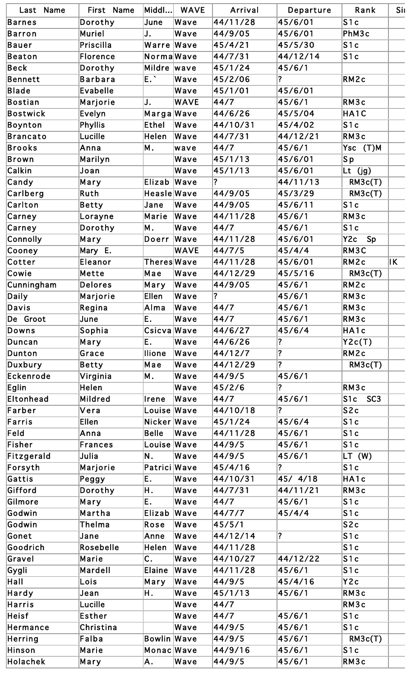| Last Name     | First Name      | Middl        | <b>WAVE</b> | Arrival  | Departure               | Rank                               | Sil |
|---------------|-----------------|--------------|-------------|----------|-------------------------|------------------------------------|-----|
| Barnes        | Dorothy         | June         | Wave        | 44/11/28 | 45/6/01                 | S1c                                |     |
| Barron        | <b>Muriel</b>   | J.           | Wave        | 44/9/05  | 45/6/01                 | PhM3c                              |     |
| Bauer         | Priscilla       | Warre Wave   |             | 45/4/21  | 45/5/30                 | S1c                                |     |
| Beaton        | <b>Florence</b> | NormaWave    |             | 44/7/31  | 44/12/14                | S1c                                |     |
| Beck          | Dorothy         | Mildre wave  |             | 45/1/24  | 45/6/1                  |                                    |     |
| Bennett       | <b>Barbara</b>  | $E^{\times}$ | Wave        | 45/2/06  | ?                       | RM2c                               |     |
| Blade         | <b>Evabelle</b> |              | Wave        | 45/1/01  | 45/6/01                 |                                    |     |
| Bostian       | Marjorie        | IJ.          | <b>WAVE</b> | 44/7     | 45/6/1                  | RM3c                               |     |
| Bostwick      | Evelyn          | MargaWave    |             | 44/6/26  | 45/5/04                 | HA1C                               |     |
| Boynton       | <b>Phyllis</b>  | Ethel        | Wave        | 44/10/31 | 45/4/02                 | S1c                                |     |
| Brancato      | Lucille         | Helen        | Wave        | 44/7/31  | 44/12/21                | RM3c                               |     |
| Brooks        | Anna            | M.           | wave        | 44/7     | 45/6/1                  | Ysc (T)M                           |     |
| Brown         | Marilyn         |              | Wave        | 45/1/13  | 45/6/01                 | Sp                                 |     |
| Calkin        | Joan            |              | Wave        | 45/1/13  | 45/6/01                 | Lt (jg)                            |     |
| Candy         | Mary            | Elizab       | Wave        | 2        | 44/11/13                | RM3c(T)                            |     |
| Carlberg      | Ruth            | HeasleWave   |             | 44/9/05  | 45/3/29                 | RM3c(T)                            |     |
| Carlton       | Betty           | Jane         | Wave        | 44/9/05  | 45/6/11                 | S1c                                |     |
| Carney        | Lorayne         | Marie        | Wave        | 44/11/28 | 45/6/1                  | RM3c                               |     |
| <b>Carney</b> | Dorothy         | M.           | Wave        | 44/7     | 45/6/1                  | S1c                                |     |
| Connolly      | Mary            | Doerr        | Wave        | 44/11/28 | 45/6/01                 | Y2c<br>Sp                          |     |
| Cooney        | Mary E.         |              | <b>WAVE</b> | 44/7/5   | 45/4/4                  | RM3C                               |     |
| Cotter        | Eleanor         | Theres Wave  |             | 44/11/28 | 45/6/01                 | RM2c                               | IK. |
| Cowie         | Mette           | Mae          | Wave        | 44/12/29 | 45/5/16                 | RM3c(T)                            |     |
| Cunningham    | <b>Delores</b>  | Mary         | Wave        | 44/9/05  | 45/6/1                  | RM2c                               |     |
| Daily         | Marjorie        | <b>Ellen</b> | Wave        | ?        | 45/6/1                  | RM3c                               |     |
| Davis         | Regina          | Alma         | Wave        | 44/7     | 45/6/1                  | RM3c                               |     |
| De Groot      | June            | Е.           | Wave        | 44/7     | 45/6/1                  | RM3c                               |     |
| Downs         | Sophia          | Csicva Wave  |             | 44/6/27  | 45/6/4                  | HA1c                               |     |
| Duncan        | Mary            | E.           | Wave        | 44/6/26  | $\overline{\mathbf{?}}$ | YZc(T)                             |     |
| Dunton        | Grace           | llione       | Wave        | 44/12/7  | $\overline{?}$          | RM2c                               |     |
| Duxbury       | Betty           | Mae          | Wave        | 44/12/29 | $\overline{?}$          | RM3c(T)                            |     |
| Eckenrode     | Virginia        | M.           | Wave        | 44/9/5   | 45/6/1                  |                                    |     |
| Eglin         | Helen           |              | Wave        | 45/2/6   | ?                       | RM3c                               |     |
| Eltonhead     | <b>Mildred</b>  | Irene        | Wave        | 44/7     | 45/6/1                  | S <sub>1c</sub><br>SC <sub>3</sub> |     |
| Farber        | Vera            | Louise Wave  |             | 44/10/18 | $\overline{\mathbf{?}}$ | S2c                                |     |
| Farris        | <b>Ellen</b>    | Nicker Wave  |             | 45/1/24  | 45/6/4                  | S1c                                |     |
| Feld          | Anna            | <b>Belle</b> | Wave        | 44/11/28 | 45/6/1                  | S1c                                |     |
| Fisher        | Frances         | Louise Wave  |             | 44/9/5   | 45/6/1                  | S1c                                |     |
| Fitzgerald    | Julia           | N.           | Wave        | 44/9/5   | 45/6/1                  | LT (W)                             |     |
| Forsyth       | Marjorie        | Patrici Wave |             | 45/4/16  | $ 2\rangle$             | S1c                                |     |
| Gattis        | Peggy           | Ε.           | Wave        | 44/10/31 | 45/ 4/18                | HA1c                               |     |
| Gifford       | Dorothy         | Η.           | Wave        | 44/7/31  | 44/11/21                | RM3c                               |     |
| Gilmore       | Mary            | E.           | Wave        | 44/7     | 45/6/1                  | S1c                                |     |
| Godwin        | Martha          | Elizab Wave  |             | 44/7/7   | 45/4/4                  | S1c                                |     |
| Godwin        | Thelma          | Rose         | Wave        | 45/5/1   |                         | S2c                                |     |
| Gonet         | Jane            | Anne         | Wave        | 44/12/14 | $\overline{\mathbf{?}}$ | S1c                                |     |
| Goodrich      | Rosebelle       | Helen        | Wave        | 44/11/28 |                         | S1c                                |     |
| Gravel        | Marie           | C.           | Wave        | 44/10/27 | 44/12/22                | S1c                                |     |
| Gygli         | Mardell         | Elaine       | Wave        | 44/11/28 | 45/6/1                  | S1c                                |     |
| Hall          | Lois            | Mary         | Wave        | 44/9/5   | 45/4/16                 | YZC                                |     |
| Hardy         | Jean            | Η.           | Wave        | 45/1/13  | 45/6/1                  | RM3c                               |     |
| Harris        | Lucille         |              | Wave        | 44/7     |                         | RM3c                               |     |
| Heisf         | <b>Esther</b>   |              | Wave        | 44/7     | 45/6/1                  | S1c                                |     |
| Hermance      | Christina       |              | Wave        | 44/9/5   | 45/6/1                  |                                    |     |
|               |                 |              |             | 44/9/5   | 45/6/1                  | S1c                                |     |
| Herring       | Falba           | Bowlin Wave  |             |          |                         | RM3c(T)                            |     |
| Hinson        | Marie           | Monac Wave   |             | 44/9/16  | 45/6/1                  | S1c                                |     |
| Holachek      | Mary            | A.           | Wave        | 44/9/5   | 45/6/1                  | RM3c                               |     |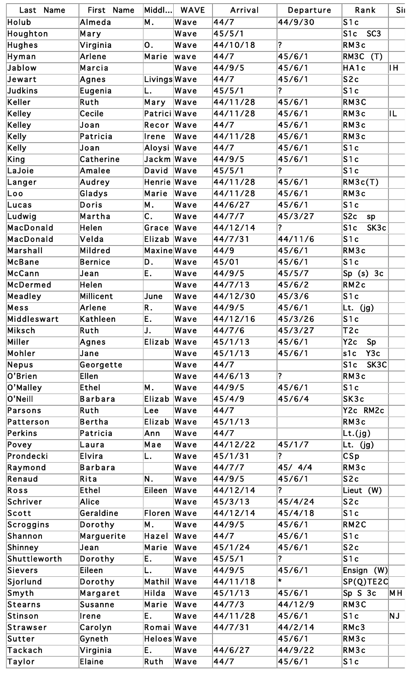| Last Name                             | First Name       | $ $ Middl $ $ | <b>WAVE</b> | Arrival  | Departure               | Rank                               | Sil |
|---------------------------------------|------------------|---------------|-------------|----------|-------------------------|------------------------------------|-----|
| Holub                                 | Almeda           | M.            | Wave        | 44/7     | 44/9/30                 | S1c                                |     |
| Houghton                              | Mary             |               | Wave        | 45/5/1   |                         | S <sub>1c</sub><br>SC <sub>3</sub> |     |
| Hughes                                | Virginia         | Ю.            | Wave        | 44/10/18 | ?                       | RM3c                               |     |
| Hyman                                 | Arlene           | Marie         | wave        | 44/7     | 45/6/1                  | RM3C<br>(T)                        |     |
| Jablow                                | Marcia           |               | Wave        | 44/9/5   | 45/6/1                  | HA1c                               | IH. |
| Jewart                                | Agnes            | Livings Wave  |             | 44/7     | 45/6/1                  | S <sub>2c</sub>                    |     |
| <b>Judkins</b>                        | Eugenia          | L.            | Wave        | 45/5/1   | $\overline{?}$          | S1c                                |     |
| Keller                                | Ruth             | Mary          | Wave        | 44/11/28 | 45/6/1                  | RM3C                               |     |
| <b>Kelley</b>                         | Cecile           | Patrici Wave  |             | 44/11/28 | 45/6/1                  | RM3c                               | IL  |
| Kelley                                | Joan             | Recor         | Wave        | 44/7     | 45/6/1                  | RM3c                               |     |
| Kelly                                 | Patricia         | Irene         | Wave        | 44/11/28 | 45/6/1                  | RM3c                               |     |
| Kelly                                 | Joan             | Aloysi Wave   |             | 44/7     | 45/6/1                  | S1c                                |     |
| King                                  | Catherine        | Jackm Wave    |             | 44/9/5   | 45/6/1                  | S1c                                |     |
| LaJoie                                | Amalee           | David         | Wave        | 45/5/1   | $\overline{\mathbf{?}}$ | S1c                                |     |
| Langer                                | Audrey           | Henrie Wave   |             | 44/11/28 | 45/6/1                  | RM3c(T)                            |     |
| Loo                                   | Gladys           | Marie         | Wave        | 44/11/28 | 45/6/1                  | RM3c                               |     |
| Lucas                                 | Doris            | Μ.            | Wave        | 44/6/27  | 45/6/1                  | S1c                                |     |
| Ludwig                                | Martha           | C.            | Wave        | 44/7/7   | 45/3/27                 | S <sub>2c</sub><br>sp              |     |
| MacDonald                             | Helen            | Grace         | Wave        | 44/12/14 | $\overline{?}$          | S <sub>1c</sub><br>SK3c            |     |
| MacDonald                             | Velda            | Elizab Wave   |             | 44/7/31  | 44/11/6                 | S1c                                |     |
| Marshall                              | Mildred          | Maxine Wave   |             | 44/9     | 45/6/1                  | RM3c                               |     |
| McBane                                | <b>Bernice</b>   | D.            | Wave        | 45/01    | 45/6/1                  | S1c                                |     |
| McCann                                |                  |               | Wave        | 44/9/5   |                         |                                    |     |
|                                       | Jean             | E.            |             |          | 45/5/7                  | $Sp(s)$ 3c                         |     |
| McDermed                              | Helen            |               | Wave        | 44/7/13  | 45/6/2                  | RM2c                               |     |
| Meadley                               | <b>Millicent</b> | June          | Wave        | 44/12/30 | 45/3/6                  | S1c                                |     |
| Mess                                  | Arlene           | R.            | Wave        | 44/9/5   | 45/6/1                  | Lt. (jg)                           |     |
| Middleswart                           | Kathleen         | E.            | Wave        | 44/12/16 | 45/3/26                 | S1c                                |     |
| Miksch                                | Ruth             | J.            | Wave        | 44/7/6   | 45/3/27                 | T <sub>2</sub> c                   |     |
| Miller                                | Agnes            | Elizab Wave   |             | 45/1/13  | 45/6/1                  | Y2c<br>Sp                          |     |
| Mohler                                | Jane             |               | Wave        | 45/1/13  | 45/6/1                  | s1c <br>Y3c                        |     |
| Nepus                                 | Georgette        |               | Wave        | 44/7     |                         | SK3C<br>S1c                        |     |
| O'Brien                               | <b>Ellen</b>     |               | Wave        | 44/6/13  | $\overline{\mathbf{?}}$ | RM3c                               |     |
| O'Malley                              | <b>Ethel</b>     | M.            | Wave        | 44/9/5   | 45/6/1                  | S1c                                |     |
| O'Neill                               | <b>Barbara</b>   | Elizab        | Wave        | 45/4/9   | 45/6/4                  | SK3c                               |     |
| Parsons                               | Ruth             | Lee           | Wave        | 44/7     |                         | Y2c RM2c                           |     |
| Patterson                             | Bertha           | Elizab Wave   |             | 45/1/13  |                         | RM3c                               |     |
| Perkins                               | Patricia         | Ann           | Wave        | 44/7     |                         | Lt.(jg)                            |     |
| Povey                                 | Laura            | Mae           | Wave        | 44/12/22 | 45/1/7                  | Lt. (jg)                           |     |
| Prondecki                             | Elvira           | L.            | Wave        | 45/1/31  | ?                       | CSp                                |     |
| Raymond                               | <b>Barbara</b>   |               | Wave        | 44/7/7   | 45/ 4/4                 | RM3c                               |     |
| Renaud                                | Rita             | N.            | Wave        | 44/9/5   | 45/6/1                  | S2c                                |     |
| Ross                                  | <b>Ethel</b>     | Eileen        | Wave        | 44/12/14 | $\overline{\mathbf{?}}$ | Lieut (W)                          |     |
| Schriver                              | <b>Alice</b>     |               | Wave        | 45/3/13  | 45/4/24                 | S <sub>2c</sub>                    |     |
| Scott                                 | Geraldine        | Floren Wave   |             | 44/12/14 | 45/4/18                 | S1c                                |     |
| Scroggins                             | Dorothy          | M.            | Wave        | 44/9/5   | 45/6/1                  | RM2C                               |     |
| Shannon                               | Marguerite       | Hazel         | Wave        | 44/7     | 45/6/1                  | S1c                                |     |
| Shinney                               | Jean             | Marie         | Wave        | 45/1/24  | 45/6/1                  | S2c                                |     |
| Shuttleworth                          | Dorothy          | E.            | Wave        | 45/5/1   | $\overline{?}$          | S1c                                |     |
| Sievers                               | Eileen           | L.            | Wave        | 44/9/5   | 45/6/1                  | (W)<br>Ensign                      |     |
| Sjorlund                              | Dorothy          | Mathil Wave   |             | 44/11/18 | $\star$                 | $SP(Q)$ TE2C                       |     |
| $ {\mathsf{S}}\text{-}\mathsf{myth} $ | Margaret         | Hilda         | Wave        | 45/1/13  | 45/6/1                  | $\textsf{Sp} \texttt{S} 3c$        | M H |
| Stearns                               | <b>Susanne</b>   | Marie         | Wave        | 44/7/3   | 44/12/9                 | RM3C                               |     |
| Stinson                               | Irene            | E.            | Wave        | 44/11/28 | 45/6/1                  | S1c                                | NJ  |
| Strawser                              | Carolyn          | Romai Wave    |             | 44/7/31  | 44/2/14                 | RMc3                               |     |
| Sutter                                | Gyneth           | Heloes Wave   |             |          | 45/6/1                  | RM3c                               |     |
| Tackach                               | Virginia         | E.            | Wave        | 44/6/27  | 44/9/22                 | RM3c                               |     |
| Taylor                                | Elaine           | Ruth          | Wave        | 44/7     | 45/6/1                  | S1c                                |     |